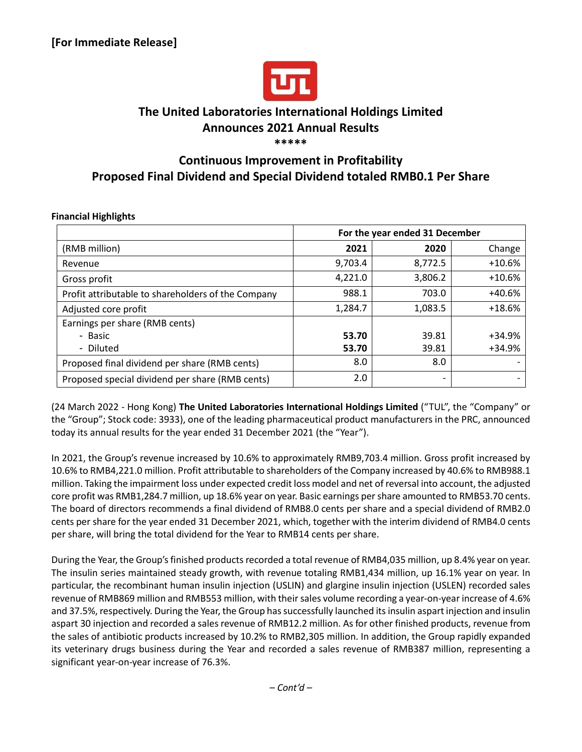

# **The United Laboratories International Holdings Limited Announces 2021 Annual Results**

## **\*\*\*\*\***

## **Continuous Improvement in Profitability Proposed Final Dividend and Special Dividend totaled RMB0.1 Per Share**

|                                                    | For the year ended 31 December |         |          |
|----------------------------------------------------|--------------------------------|---------|----------|
| (RMB million)                                      | 2021                           | 2020    | Change   |
| Revenue                                            | 9,703.4                        | 8,772.5 | $+10.6%$ |
| Gross profit                                       | 4,221.0                        | 3,806.2 | $+10.6%$ |
| Profit attributable to shareholders of the Company | 988.1                          | 703.0   | $+40.6%$ |
| Adjusted core profit                               | 1,284.7                        | 1,083.5 | $+18.6%$ |
| Earnings per share (RMB cents)                     |                                |         |          |
| - Basic                                            | 53.70                          | 39.81   | +34.9%   |
| - Diluted                                          | 53.70                          | 39.81   | +34.9%   |
| Proposed final dividend per share (RMB cents)      | 8.0                            | 8.0     |          |
| Proposed special dividend per share (RMB cents)    | 2.0                            |         |          |

## **Financial Highlights**

(24 March 2022 - Hong Kong) **The United Laboratories International Holdings Limited** ("TUL", the "Company" or the "Group"; Stock code: 3933), one of the leading pharmaceutical product manufacturers in the PRC, announced today its annual results for the year ended 31 December 2021 (the "Year").

In 2021, the Group's revenue increased by 10.6% to approximately RMB9,703.4 million. Gross profit increased by 10.6% to RMB4,221.0 million. Profit attributable to shareholders of the Company increased by 40.6% to RMB988.1 million. Taking the impairment loss under expected credit loss model and net of reversal into account, the adjusted core profit was RMB1,284.7 million, up 18.6% year on year. Basic earnings per share amounted to RMB53.70 cents. The board of directors recommends a final dividend of RMB8.0 cents per share and a special dividend of RMB2.0 cents per share for the year ended 31 December 2021, which, together with the interim dividend of RMB4.0 cents per share, will bring the total dividend for the Year to RMB14 cents per share.

During the Year, the Group's finished products recorded a total revenue of RMB4,035 million, up 8.4% year on year. The insulin series maintained steady growth, with revenue totaling RMB1,434 million, up 16.1% year on year. In particular, the recombinant human insulin injection (USLIN) and glargine insulin injection (USLEN) recorded sales revenue of RMB869 million and RMB553 million, with their sales volume recording a year-on-year increase of 4.6% and 37.5%, respectively. During the Year, the Group has successfully launched its insulin aspart injection and insulin aspart 30 injection and recorded a sales revenue of RMB12.2 million. As for other finished products, revenue from the sales of antibiotic products increased by 10.2% to RMB2,305 million. In addition, the Group rapidly expanded its veterinary drugs business during the Year and recorded a sales revenue of RMB387 million, representing a significant year-on-year increase of 76.3%.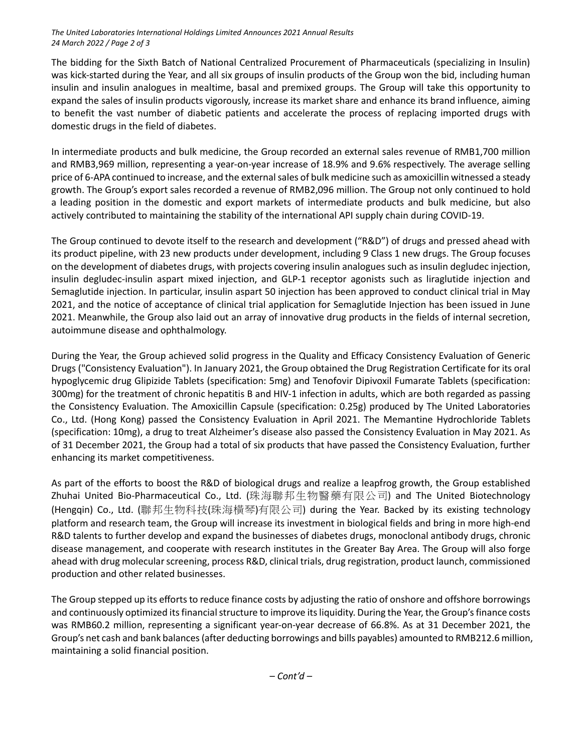#### *The United Laboratories International Holdings Limited Announces 2021 Annual Results 24 March 2022 / Page 2 of 3*

The bidding for the Sixth Batch of National Centralized Procurement of Pharmaceuticals (specializing in Insulin) was kick-started during the Year, and all six groups of insulin products of the Group won the bid, including human insulin and insulin analogues in mealtime, basal and premixed groups. The Group will take this opportunity to expand the sales of insulin products vigorously, increase its market share and enhance its brand influence, aiming to benefit the vast number of diabetic patients and accelerate the process of replacing imported drugs with domestic drugs in the field of diabetes.

In intermediate products and bulk medicine, the Group recorded an external sales revenue of RMB1,700 million and RMB3,969 million, representing a year-on-year increase of 18.9% and 9.6% respectively. The average selling price of 6-APA continued to increase, and the external sales of bulk medicine such as amoxicillin witnessed a steady growth. The Group's export sales recorded a revenue of RMB2,096 million. The Group not only continued to hold a leading position in the domestic and export markets of intermediate products and bulk medicine, but also actively contributed to maintaining the stability of the international API supply chain during COVID-19.

The Group continued to devote itself to the research and development ("R&D") of drugs and pressed ahead with its product pipeline, with 23 new products under development, including 9 Class 1 new drugs. The Group focuses on the development of diabetes drugs, with projects covering insulin analogues such as insulin degludec injection, insulin degludec-insulin aspart mixed injection, and GLP-1 receptor agonists such as liraglutide injection and Semaglutide injection. In particular, insulin aspart 50 injection has been approved to conduct clinical trial in May 2021, and the notice of acceptance of clinical trial application for Semaglutide Injection has been issued in June 2021. Meanwhile, the Group also laid out an array of innovative drug products in the fields of internal secretion, autoimmune disease and ophthalmology.

During the Year, the Group achieved solid progress in the Quality and Efficacy Consistency Evaluation of Generic Drugs ("Consistency Evaluation"). In January 2021, the Group obtained the Drug Registration Certificate for its oral hypoglycemic drug Glipizide Tablets (specification: 5mg) and Tenofovir Dipivoxil Fumarate Tablets (specification: 300mg) for the treatment of chronic hepatitis B and HIV-1 infection in adults, which are both regarded as passing the Consistency Evaluation. The Amoxicillin Capsule (specification: 0.25g) produced by The United Laboratories Co., Ltd. (Hong Kong) passed the Consistency Evaluation in April 2021. The Memantine Hydrochloride Tablets (specification: 10mg), a drug to treat Alzheimer's disease also passed the Consistency Evaluation in May 2021. As of 31 December 2021, the Group had a total of six products that have passed the Consistency Evaluation, further enhancing its market competitiveness.

As part of the efforts to boost the R&D of biological drugs and realize a leapfrog growth, the Group established Zhuhai United Bio-Pharmaceutical Co., Ltd. (珠海聯邦生物醫藥有限公司) and The United Biotechnology (Hengqin) Co., Ltd. (聯邦生物科技(珠海橫琴)有限公司) during the Year. Backed by its existing technology platform and research team, the Group will increase its investment in biological fields and bring in more high-end R&D talents to further develop and expand the businesses of diabetes drugs, monoclonal antibody drugs, chronic disease management, and cooperate with research institutes in the Greater Bay Area. The Group will also forge ahead with drug molecular screening, process R&D, clinical trials, drug registration, product launch, commissioned production and other related businesses.

The Group stepped up its efforts to reduce finance costs by adjusting the ratio of onshore and offshore borrowings and continuously optimized its financial structure to improve its liquidity. During the Year, the Group's finance costs was RMB60.2 million, representing a significant year-on-year decrease of 66.8%. As at 31 December 2021, the Group's net cash and bank balances (after deducting borrowings and bills payables) amounted to RMB212.6 million, maintaining a solid financial position.